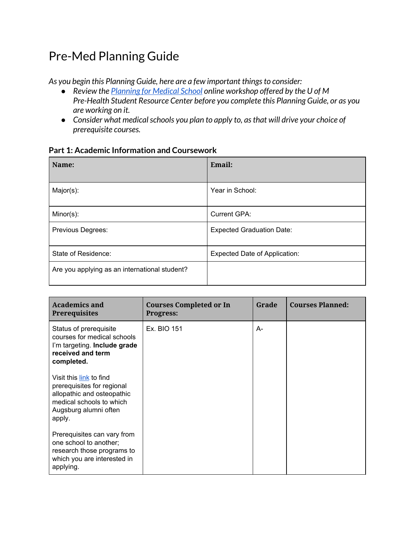# Pre-Med Planning Guide

*As you begin this Planning Guide, here are a few important thingsto consider:*

- *● Review the [Planning](https://www.healthcareers.umn.edu/events/online-workshops/planning-medical-school) for Medical School online workshop offered by the U of M Pre-Health Student Resource Center before you complete this Planning Guide, or as you are working on it.*
- *● Consider what medicalschools you plan to apply to, asthat will drive your choice of prerequisite courses.*

| Name:                                         | Email:                               |
|-----------------------------------------------|--------------------------------------|
| Major(s):                                     | Year in School:                      |
| $Minor(s)$ :                                  | <b>Current GPA:</b>                  |
| Previous Degrees:                             | <b>Expected Graduation Date:</b>     |
| State of Residence:                           | <b>Expected Date of Application:</b> |
| Are you applying as an international student? |                                      |

#### **Part 1: Academic Information and Coursework**

| <b>Academics and</b><br><b>Prerequisites</b>                                                                                                       | <b>Courses Completed or In</b><br><b>Progress:</b> | Grade | <b>Courses Planned:</b> |
|----------------------------------------------------------------------------------------------------------------------------------------------------|----------------------------------------------------|-------|-------------------------|
| Status of prerequisite<br>courses for medical schools<br>I'm targeting. Include grade<br>received and term<br>completed.                           | Ex. BIO 151                                        | A-    |                         |
| Visit this link to find<br>prerequisites for regional<br>allopathic and osteopathic<br>medical schools to which<br>Augsburg alumni often<br>apply. |                                                    |       |                         |
| Prerequisites can vary from<br>one school to another;<br>research those programs to<br>which you are interested in<br>applying.                    |                                                    |       |                         |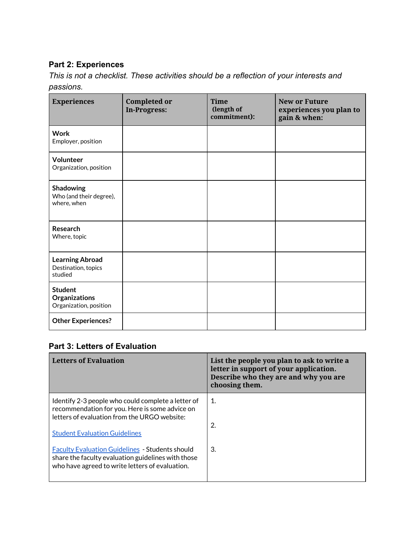# **Part 2: Experiences**

*This is not a checklist. These activities should be a reflection of your interests and passions.*

| <b>Experiences</b>                                        | <b>Completed or</b><br><b>In-Progress:</b> | <b>Time</b><br>(length of<br>commitment): | <b>New or Future</b><br>experiences you plan to<br>gain & when: |
|-----------------------------------------------------------|--------------------------------------------|-------------------------------------------|-----------------------------------------------------------------|
| <b>Work</b><br>Employer, position                         |                                            |                                           |                                                                 |
| <b>Volunteer</b><br>Organization, position                |                                            |                                           |                                                                 |
| Shadowing<br>Who (and their degree),<br>where, when       |                                            |                                           |                                                                 |
| <b>Research</b><br>Where, topic                           |                                            |                                           |                                                                 |
| <b>Learning Abroad</b><br>Destination, topics<br>studied  |                                            |                                           |                                                                 |
| <b>Student</b><br>Organizations<br>Organization, position |                                            |                                           |                                                                 |
| <b>Other Experiences?</b>                                 |                                            |                                           |                                                                 |

# **Part 3: Letters of Evaluation**

| <b>Letters of Evaluation</b>                                                                                                                                                                 | List the people you plan to ask to write a<br>letter in support of your application.<br>Describe who they are and why you are<br>choosing them. |
|----------------------------------------------------------------------------------------------------------------------------------------------------------------------------------------------|-------------------------------------------------------------------------------------------------------------------------------------------------|
| Identify 2-3 people who could complete a letter of<br>recommendation for you. Here is some advice on<br>letters of evaluation from the URGO website:<br><b>Student Evaluation Guidelines</b> | 1.<br>2.                                                                                                                                        |
| <b>Faculty Evaluation Guidelines - Students should</b><br>share the faculty evaluation guidelines with those<br>who have agreed to write letters of evaluation.                              | 3.                                                                                                                                              |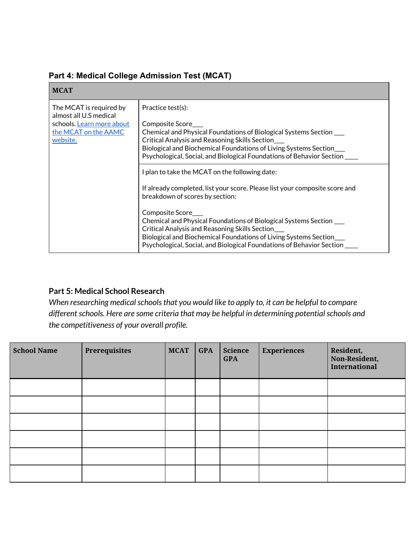| <b>MCAT</b>                                                                                                        |                                                                                                                                                                                                                                                                                                                                                                                                                                                                                                                                                                                                                                                                                                                                                                           |
|--------------------------------------------------------------------------------------------------------------------|---------------------------------------------------------------------------------------------------------------------------------------------------------------------------------------------------------------------------------------------------------------------------------------------------------------------------------------------------------------------------------------------------------------------------------------------------------------------------------------------------------------------------------------------------------------------------------------------------------------------------------------------------------------------------------------------------------------------------------------------------------------------------|
| The MCAT is required by<br>almost all U.S medical<br>schools. Learn more about<br>the MCAT on the AAMC<br>website. | Practice test(s):<br>Composite Score<br>Chemical and Physical Foundations of Biological Systems Section ____<br>Critical Analysis and Reasoning Skills Section<br>Biological and Biochemical Foundations of Living Systems Section<br>Psychological, Social, and Biological Foundations of Behavior Section<br>I plan to take the MCAT on the following date:<br>If already completed, list your score. Please list your composite score and<br>breakdown of scores by section:<br>Composite Score<br>Chemical and Physical Foundations of Biological Systems Section ___<br>Critical Analysis and Reasoning Skills Section<br>Biological and Biochemical Foundations of Living Systems Section_<br>Psychological, Social, and Biological Foundations of Behavior Section |

# **Part 4: Medical College Admission Test (MCAT)**

# **Part 5: Medical School Research**

*When researching medical schools that you would like to apply to, it can be helpful to compare differentschools. Here are some criteria that may be helpful in determining potentialschools and the competitiveness of your overall profile.*

| <b>School Name</b> | Prerequisites | <b>MCAT</b> | <b>GPA</b> | <b>Science</b><br><b>GPA</b> | <b>Experiences</b> | Resident,<br>Non-Resident,<br><b>International</b> |
|--------------------|---------------|-------------|------------|------------------------------|--------------------|----------------------------------------------------|
|                    |               |             |            |                              |                    |                                                    |
|                    |               |             |            |                              |                    |                                                    |
|                    |               |             |            |                              |                    |                                                    |
|                    |               |             |            |                              |                    |                                                    |
|                    |               |             |            |                              |                    |                                                    |
|                    |               |             |            |                              |                    |                                                    |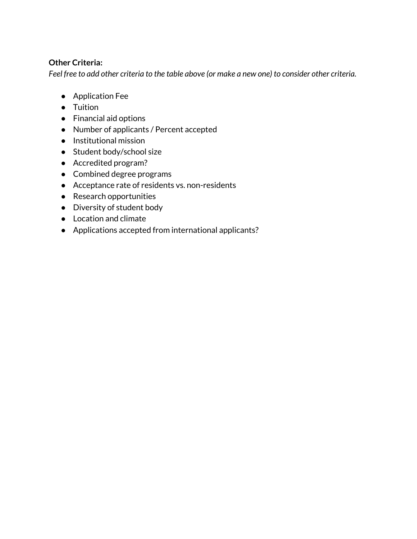# **Other Criteria:**

Feel free to add other criteria to the table above (or make a new one) to consider other criteria.

- Application Fee
- Tuition
- Financial aid options
- Number of applicants / Percent accepted
- Institutional mission
- Student body/school size
- Accredited program?
- Combined degree programs
- Acceptance rate of residents vs. non-residents
- Research opportunities
- Diversity of student body
- Location and climate
- Applications accepted from international applicants?